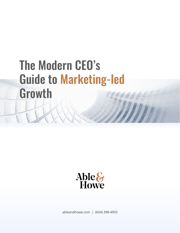# The Modern CEO's Guide to Marketing-led Growth



ableandhowe.com | (604) 398-4993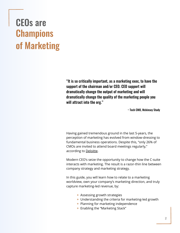# CEOs are **Champions** of Marketing

"It is so critically important, as a marketing exec, to have the support of the chairman and/or CEO. CEO support will dramatically change the output of marketing and will dramatically change the quality of the marketing people you will attract into the org."

~ Tech CMO, Mckinsey Study

Having gained tremendous ground in the last 5-years, the perception of marketing has evolved from window-dressing to fundamental business operations. Despite this, "only 26% of CMOs are invited to attend board meetings regularly," according to [Deloitte](https://www2.deloitte.com/us/en/pages/center-for-board-effectiveness/articles/us-board-practices-report-common-threads.html).

Modern CEO's seize the opportunity to change how the C-suite interacts with marketing. The result is a razor-thin line between company strategy and marketing strategy.

In this guide, you will learn how to relate to a marketing worldview, own your company's marketing direction, and truly capture marketing-led revenue, by:

- **+** Assessing growth strategies
- **+** Understanding the criteria for marketing-led growth
- **+** Planning for marketing independence
- **+** Enabling the "Marketing Stack"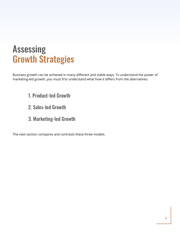# Assessing Growth Strategies

Business growth can be achieved in many different and viable ways. To understand the power of marketing-led growth, you must first understand what how it differs from the alternatives:

- 1. Product-led Growth
- 2. Sales-led Growth
- 3. Marketing-led Growth

The next section compares and contrasts these three models.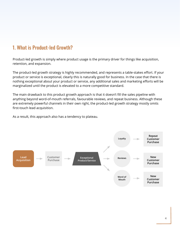# 1. What is Product-led Growth?

Product-led growth is simply where product usage is the primary driver for things like acquisition, retention, and expansion.

The product-led growth strategy is highly recommended, and represents a table-stakes effort. If your product or service is exceptional, clearly this is naturally good for business. In the case that there is nothing exceptional about your product or service, any additional sales and marketing efforts will be marginalized until the product is elevated to a more competitive standard.

The main drawback to this product growth approach is that it doesn't fill the sales pipeline with anything beyond word-of-mouth referrals, favourable reviews, and repeat business. Although these are extremely powerful channels in their own right, the product-led growth strategy mostly omits first-touch lead acquisition.

As a result, this approach also has a tendency to plateau.

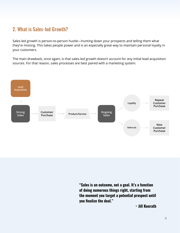# 2. What is Sales-led Growth?

Sales-led growth is person-to-person hustle—hunting down your prospects and telling them what they're missing. This takes people power and is an especially great way to maintain personal loyalty in your customers.

The main drawback, once again, is that sales-led growth doesn't account for any initial lead acquisition sources. For that reason, sales processes are best paired with a marketing system.



**"Sales is an outcome, not a goal. It's a function of doing numerous things right, starting from the moment you target a potential prospect until you finalize the deal."**

**~ Jill Konrath**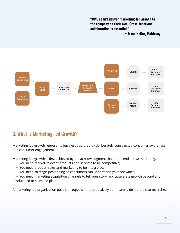**"CMOs can't deliver marketing-led growth to the company on their own. Cross-functional collaboration is essential."**

**~ Jason Heller, Mckinsey**



# 3. What is Marketing-led Growth?

Marketing-led growth represents business captured by deliberately-constructed consumer awareness and consumer engagement.

Marketing-led growth is first achieved by the acknowledgment that in the end, it's *all* marketing.

- **+** You need market-relevant products and services to be competitive;
- **+** You need product, sales and marketing to be integrated;
- **+** You need strategic positioning so consumers can understand your relevance;

 **+** You need marketing acquisition channels to tell your story, and accelerate growth beyond any product-led or sales-led plateau.

A marketing-led organization pulls it all together and proactively dominates a deliberate market niche.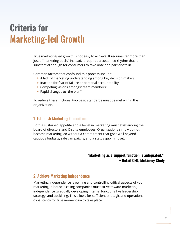# Criteria for Marketing-led Growth

True marketing-led growth is not easy to achieve. It requires far more than just a "marketing push." Instead, it requires a sustained rhythm that is substantial enough for consumers to take note and participate in.

Common factors that confound this process include:

- **+** A lack of marketing understanding among key decision makers;
- **+** Inaction for fear of failure or personal accountability;
- **+** Competing visions amongst team members;
- **+** Rapid changes to "the plan".

To reduce these frictions, two basic standards must be met within the organization.

## 1. Establish Marketing Commitment

Both a sustained appetite and a belief in marketing must exist among the board of directors and C-suite employees. Organizations simply do not become marketing led without a commitment that goes well beyond cautious budgets, safe campaigns, and a status quo mindset.

# **"Marketing as a support function is antiquated." ~ Retail CEO, Mckinsey Study**

# 2. Achieve Marketing Independence

Marketing independence is owning and controlling critical aspects of your marketing in-house. Scaling companies must strive toward marketing independence, gradually developing internal functions like leadership, strategy, and upskilling. This allows for sufficient strategic and operational consistency for true momentum to take place.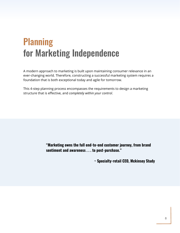# **Planning** for Marketing Independence

A modern approach to marketing is built upon maintaining consumer relevance in an ever-changing world. Therefore, constructing a successful marketing system requires a foundation that is both exceptional today and agile for tomorrow.

This 4-step planning process encompasses the requirements to design a marketing structure that is effective, and *completely within your control*.

> **"Marketing owns the full end-to-end customer journey, from brand sentiment and awareness . . . to post-purchase."**

> > **~ Specialty-retail CEO, Mckinsey Study**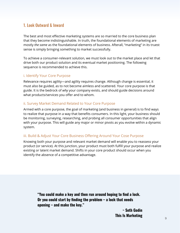# 1. Look Outward & Inward

The best and most effective marketing systems are so married to the core business plan that they become indistinguishable. In truth, the foundational elements of marketing are mostly *the same* as the foundational elements of business. Afterall, "marketing" in its truest sense is simply bringing something to market successfully.

To achieve a consumer-relevant solution, we must look out to the market place and let that drive both our product solution and its eventual market positioning. The following sequence is recommended to achieve this.

## i. Identify Your Core Purpose

Relevance requires agility—and agility requires change. Although change is essential, it must also be guided, as to not become aimless and scattered. Your core purpose is that guide. It is the bedrock of *why* your company exists, and should guide decisions around what products/services you offer and to whom.

### ii. Survey Market Demand Related to Your Core Purpose

Armed with a core purpose, the goal of marketing (and business in general) is to find ways to realize that purpose in a way that benefits consumers. In this light, your business should be monitoring, surveying, researching, and probing all consumer opportunities that align with your purpose. This will guide any major or minor pivots as you evolve within a dynamic system.

### iii. Build & Adjust Your Core Business Offering Around Your Cose Purpose

Knowing both your purpose and relevant market demand will enable you to reassess your product (or service). At this junction, your product must both fulfill your purpose and realize existing or latent market demand. Shifts in your core product should occur when you identify the absence of a competitive advantage.

**"You could make a key and then run around hoping to find a lock. Or you could start by finding the problem – a lock that needs opening – and make the key."**

> **~ Seth Godin This Is Marketing**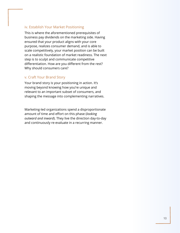### iv. Establish Your Market Positioning

This is where the aforementioned prerequisites of business pay dividends on the marketing side. Having ensured that your product aligns with your core purpose, realizes consumer demand, and is able to scale competitively, your market position can be built on a realistic foundation of market readiness. The next step is to sculpt and communicate competitive differentiation. How are you different from the rest? Why should consumers care?

### v. Craft Your Brand Story

Your brand story is your positioning in action. It's moving beyond knowing how you're unique and relevant to an important subset of consumers, and shaping the message into complementing narratives.

Marketing-led organizations spend a disproportionate amount of time and effort on this phase (*looking outward and inward*). They live the direction day-to-day and continuously re-evaluate in a recurring manner.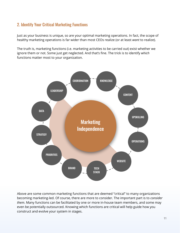# 2. Identify Your Critical Marketing Functions

Just as your business is unique, so are your optimal marketing operations. In fact, the scope of healthy marketing operations is far wider than most CEOs realize (or at least *want* to realize).

The truth is, marketing functions (i.e. marketing activities to be carried out) exist whether we ignore them or not. Some just get neglected. And that's fine. The trick is to identify *which* functions matter most to your organization.



Above are some common marketing functions that are deemed "critical" to many organizations becoming marketing-led. Of course, there are more to consider. The important part is to *consider them*. Many functions can be facilitated by one or more in-house team members, and some may even be potentially outsourced. Knowing which functions are critical will help guide how you construct and evolve your system in stages.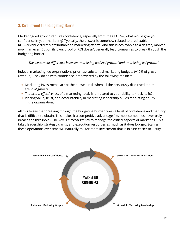# 3. Circumvent the Budgeting Barrier

Marketing-led growth requires confidence, especially from the CEO. So, what would give you confidence in your marketing? Typically, the answer is somehow related to predictable ROI—revenue directly attributable to marketing efforts. And this is achievable to a degree, moreso now than ever. But on its own, proof of ROI doesn't generally lead companies to break through the budgeting barrier:

#### *The investment difference between "marketing-assisted growth" and "marketing-led growth"*

Indeed, marketing-led organizations prioritize substantial marketing budgets (+10% of gross revenue). They do so with confidence, empowered by the following realities:

- **+** Marketing investments are at their lowest risk when all the previously discussed topics are *in alignment*.
- **+** The *actual effectiveness* of a marketing tactic is unrelated to your ability to track its ROI.
- **+** Placing value, trust, and accountability in marketing leadership builds marketing equity in the organization.

All this to say that breaking through the budgeting burrier takes a level of confidence and maturity that is difficult to obtain. This makes it a competitive advantage (i.e. most companies never truly breach the threshold). The key is *internal growth* to manage the critical aspects of marketing. This takes leadership, strategic clarity, and execution resources as much as it does budget. Scaling these operations over time will naturally call for more investment that is in turn easier to justify.

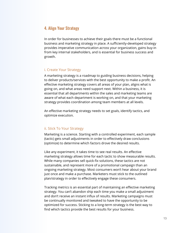# 4. Align Your Strategy

In order for businesses to achieve their goals there must be a functional business and marketing strategy in place. A sufficiently-developed strategy provides imperative communication across your organization, gains buy-in from key internal stakeholders, and is essential for business success and growth.

#### i. Create Your Strategy

A marketing strategy is a roadmap to guiding business decisions, helping to deliver products/services with the best opportunity to make a profit. An effective marketing strategy covers all areas of your plan, aligns what is going on, and what areas need support next. Within a business, it is essential that all departments within the sales and marketing teams are aware of what each department is working on, and that your marketing strategy provides coordination among team members at all levels.

An effective marketing strategy needs to set goals, identify tactics, and optimize execution.

#### ii. Stick To Your Strategy

Marketing is a science. Starting with a controlled experiment, each sample (tactic) gets small adjustments in order to effectively draw conclusions (optimize) to determine which factors drove the desired results.

Like any experiment, it takes time to see real results. An effective marketing strategy allows time for each tactic to show measurable results. While many companies sell quick-fix solutions, these tactics are not sustainable, and represent more of a promotional campaign than an ongoing marketing strategy. Most consumers won't hear about your brand just once and make a purchase. Marketers must stick to the outlined plan/strategy in order to effectively engage these consumers.

Tracking metrics is an essential part of maintaining an effective marketing strategy. You can't abandon ship each time you make a small adjustment and don't receive an instant influx of results. Marketing campaigns must be continually monitored and tweaked to have the opportunity to be optimized for success. Sticking to a long-term strategy is the best way to find which tactics provide the best results for your business.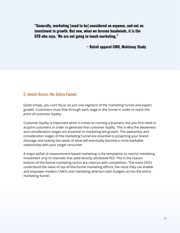**"Generally, marketing [used to be] considered an expense, and not an investment in growth. But now, when we foresee headwinds, it is the CFO who says, 'We are not going to touch marketing."**

**~ Retail apparel CMO, Mckinsey Study**

# 5. Invest Across the Entire Funnel

Quite simply, you can't focus on just one segment of the marketing funnel and expect growth. Customers must flow through each stage in the funnel in order to reach the point of customer loyalty.

Customer loyalty is important when it comes to running a business, but you first need to acquire customers in order to generate that customer loyalty. This is why the awareness and consideration stages are essential to marketing-led growth. The awareness and consideration stages of the marketing funnel are essential to projecting your brand message and sowing the seeds of what will eventually become a more bankable relationship with your target consumer.

A major pitfall of measurement-based marketing is the temptation to restrict marketing investment only to channels that yield directly attributed ROI. This is the reason bottom-of-the-funnel marketing tactics are overrun with competition. The more CEO's understand the value of top-of-the-funnel marketing efforts, the more they can enable and empower modern CMO's and marketing directors with budgets across the entire marketing funnel.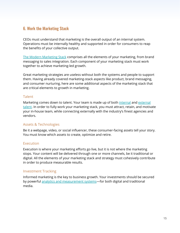# 6. Work the Marketing Stack

CEOs must understand that marketing is the overall output of an internal system. Operations must be internally healthy and supported in order for consumers to reap the benefits of your collective output.

[The Modern Marketing Stack](https://ableandhowe.com/learning/what-is-the-marketing-stack/) comprises all the elements of your marketing, from brand messaging to sales integration. Each component of your marketing stack must work together to achieve marketing-led growth.

Great marketing strategies are useless without both the systems and people to support them. Having already covered marketing-stack aspects like product, brand messaging, and consumer nurturing, here are some additional aspects of the marketing stack that are critical elements to growth in marketing.

### Talent

Marketing comes down to talent. Your team is made up of both [internal](https://ableandhowe.com/learning/the-most-important-traits-to-hire-for-across-each-marketing-function/) and [external](https://ableandhowe.com/learning/5-ways-to-win-or-lose-with-marketing-agencies/) [talent](https://ableandhowe.com/learning/5-ways-to-win-or-lose-with-marketing-agencies/). In order to fully work your marketing stack, you must attract, retain, and motivate your in-house team, while connecting externally with the industry's finest agencies and vendors.

# Assets & Technologies

Be it a webpage, video, or social influencer, these consumer-facing assets tell your story. You must know which assets to create, optimize and retire.

# Execution

Execution is where your marketing efforts go live, but it is not where the marketing stops. Your content will be delivered through one or more channels, be it traditional or digital. All the elements of your marketing stack and strategy must cohesively contribute in order to produce measurable results.

# Investment Tracking

Informed marketing is the key to business growth. Your investments should be secured by powerful [analytics and measurement systems—](https://ableandhowe.com/learning/what-types-of-marketing-return-you-should-measure/)for both digital and traditional media.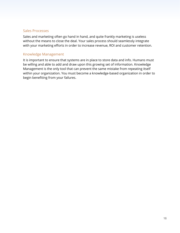#### Sales Processes

Sales and marketing often go hand in hand, and quite frankly marketing is useless without the means to close the deal. Your sales process should seamlessly integrate with your marketing efforts in order to increase revenue, ROI and customer retention.

### Knowledge Management

It is important to ensure that systems are in place to store data and info. Humans must be willing and able to add and draw upon this growing set of information. Knowledge Management is the only tool that can prevent the same mistake from repeating itself within your organization. You must become a knowledge-based organization in order to begin benefiting from your failures.